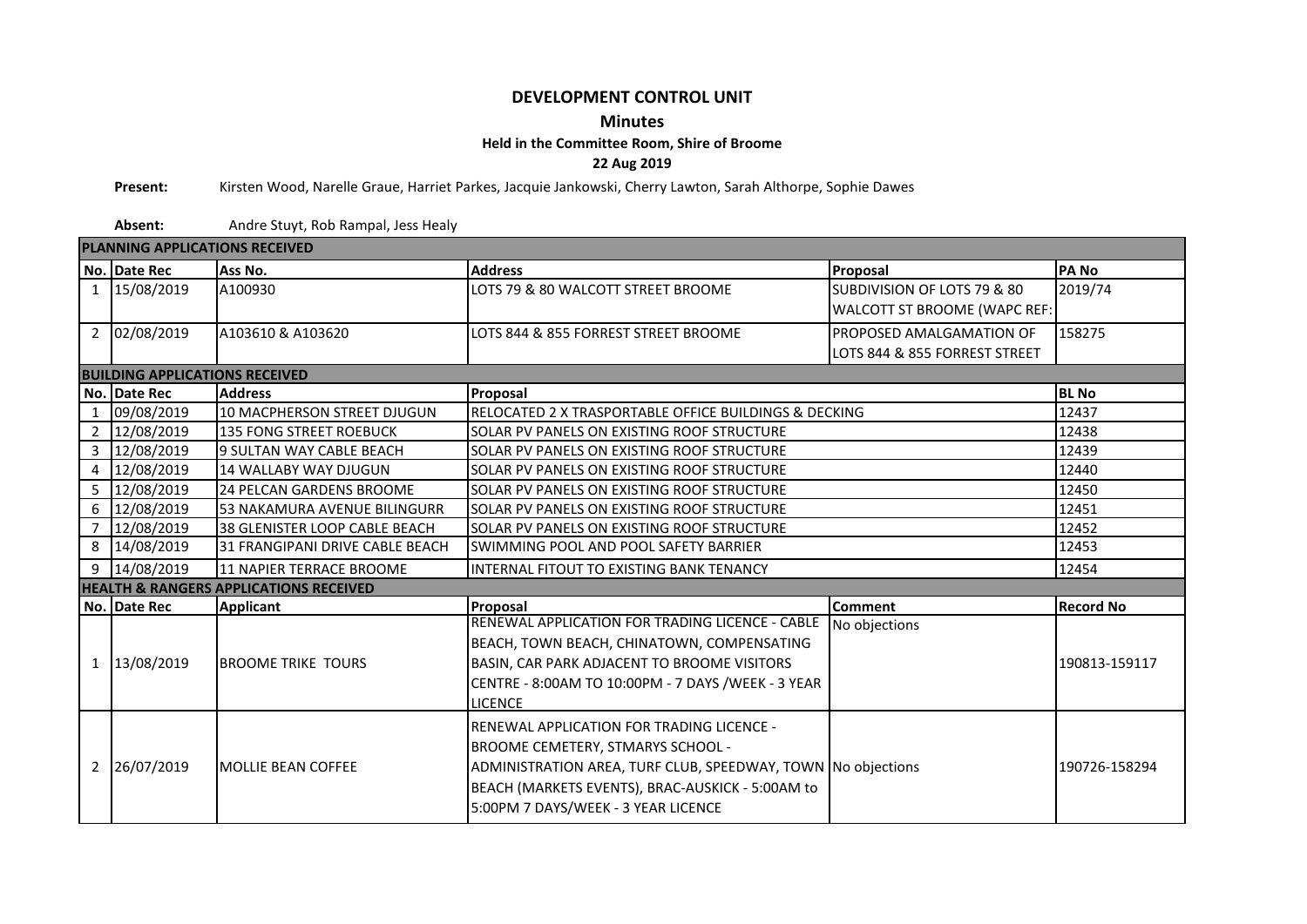## **DEVELOPMENT CONTROL UNIT**

## **Minutes**

## **Held in the Committee Room, Shire of Broome**

**22 Aug 2019**

**Present:** Kirsten Wood, Narelle Graue, Harriet Parkes, Jacquie Jankowski, Cherry Lawton, Sarah Althorpe, Sophie Dawes

**Absent:** Andre Stuyt, Rob Rampal, Jess Healy

| <b>PLANNING APPLICATIONS RECEIVED</b> |                                                                                          |                                                   |                                                              |                               |                  |  |  |  |  |  |  |  |  |
|---------------------------------------|------------------------------------------------------------------------------------------|---------------------------------------------------|--------------------------------------------------------------|-------------------------------|------------------|--|--|--|--|--|--|--|--|
|                                       | No. Date Rec                                                                             | Ass No.                                           | <b>Address</b><br>Proposal                                   |                               | <b>PANO</b>      |  |  |  |  |  |  |  |  |
|                                       | 1 15/08/2019                                                                             | A100930                                           | LOTS 79 & 80 WALCOTT STREET BROOME                           | SUBDIVISION OF LOTS 79 & 80   | 2019/74          |  |  |  |  |  |  |  |  |
|                                       |                                                                                          |                                                   |                                                              | WALCOTT ST BROOME (WAPC REF:  |                  |  |  |  |  |  |  |  |  |
|                                       | 2 02/08/2019                                                                             | A103610 & A103620                                 | LOTS 844 & 855 FORREST STREET BROOME                         | PROPOSED AMALGAMATION OF      | 158275           |  |  |  |  |  |  |  |  |
|                                       |                                                                                          |                                                   |                                                              | LOTS 844 & 855 FORREST STREET |                  |  |  |  |  |  |  |  |  |
|                                       | <b>BUILDING APPLICATIONS RECEIVED</b>                                                    |                                                   |                                                              |                               |                  |  |  |  |  |  |  |  |  |
|                                       | No. Date Rec                                                                             | <b>Address</b>                                    | Proposal                                                     | <b>BL</b> No                  |                  |  |  |  |  |  |  |  |  |
|                                       | 1 09/08/2019                                                                             | 10 MACPHERSON STREET DJUGUN                       | RELOCATED 2 X TRASPORTABLE OFFICE BUILDINGS & DECKING        | 12437                         |                  |  |  |  |  |  |  |  |  |
|                                       | 2 12/08/2019                                                                             | <b>135 FONG STREET ROEBUCK</b>                    | SOLAR PV PANELS ON EXISTING ROOF STRUCTURE                   | 12438                         |                  |  |  |  |  |  |  |  |  |
|                                       | 3 12/08/2019                                                                             | 9 SULTAN WAY CABLE BEACH                          | SOLAR PV PANELS ON EXISTING ROOF STRUCTURE                   | 12439                         |                  |  |  |  |  |  |  |  |  |
|                                       | 4 12/08/2019                                                                             | <b>14 WALLABY WAY DJUGUN</b>                      | SOLAR PV PANELS ON EXISTING ROOF STRUCTURE                   | 12440                         |                  |  |  |  |  |  |  |  |  |
|                                       | 5 12/08/2019                                                                             | 24 PELCAN GARDENS BROOME                          | SOLAR PV PANELS ON EXISTING ROOF STRUCTURE                   | 12450                         |                  |  |  |  |  |  |  |  |  |
|                                       | 6 12/08/2019                                                                             | <b>53 NAKAMURA AVENUE BILINGURR</b>               | <b>ISOLAR PV PANELS ON EXISTING ROOF STRUCTURE</b>           | 12451                         |                  |  |  |  |  |  |  |  |  |
|                                       | 7 12/08/2019                                                                             | 38 GLENISTER LOOP CABLE BEACH                     | ISOLAR PV PANELS ON EXISTING ROOF STRUCTURE                  | 12452                         |                  |  |  |  |  |  |  |  |  |
|                                       | 8 14/08/2019                                                                             | <b>31 FRANGIPANI DRIVE CABLE BEACH</b>            | <b>SWIMMING POOL AND POOL SAFETY BARRIER</b>                 | 12453                         |                  |  |  |  |  |  |  |  |  |
|                                       | 9 14/08/2019                                                                             | 11 NAPIER TERRACE BROOME                          | IINTERNAL FITOUT TO EXISTING BANK TENANCY                    | 12454                         |                  |  |  |  |  |  |  |  |  |
|                                       |                                                                                          | <b>HEALTH &amp; RANGERS APPLICATIONS RECEIVED</b> |                                                              |                               |                  |  |  |  |  |  |  |  |  |
|                                       | No. Date Rec                                                                             | <b>Applicant</b>                                  | Proposal                                                     | <b>Comment</b>                | <b>Record No</b> |  |  |  |  |  |  |  |  |
|                                       |                                                                                          |                                                   | RENEWAL APPLICATION FOR TRADING LICENCE - CABLE              | No objections                 |                  |  |  |  |  |  |  |  |  |
|                                       |                                                                                          |                                                   | BEACH, TOWN BEACH, CHINATOWN, COMPENSATING                   |                               |                  |  |  |  |  |  |  |  |  |
|                                       | 1 13/08/2019<br><b>BROOME TRIKE TOURS</b><br>BASIN, CAR PARK ADJACENT TO BROOME VISITORS |                                                   |                                                              |                               | 190813-159117    |  |  |  |  |  |  |  |  |
|                                       |                                                                                          |                                                   | CENTRE - 8:00AM TO 10:00PM - 7 DAYS /WEEK - 3 YEAR           |                               |                  |  |  |  |  |  |  |  |  |
|                                       |                                                                                          |                                                   | <b>LICENCE</b>                                               |                               |                  |  |  |  |  |  |  |  |  |
|                                       |                                                                                          |                                                   | <b>IRENEWAL APPLICATION FOR TRADING LICENCE -</b>            |                               |                  |  |  |  |  |  |  |  |  |
|                                       |                                                                                          |                                                   | <b>BROOME CEMETERY, STMARYS SCHOOL -</b>                     |                               |                  |  |  |  |  |  |  |  |  |
|                                       | 2 26/07/2019                                                                             | <b>IMOLLIE BEAN COFFEE</b>                        | ADMINISTRATION AREA, TURF CLUB, SPEEDWAY, TOWN No objections | 190726-158294                 |                  |  |  |  |  |  |  |  |  |
|                                       |                                                                                          |                                                   | BEACH (MARKETS EVENTS), BRAC-AUSKICK - 5:00AM to             |                               |                  |  |  |  |  |  |  |  |  |
|                                       |                                                                                          |                                                   | 5:00PM 7 DAYS/WEEK - 3 YEAR LICENCE                          |                               |                  |  |  |  |  |  |  |  |  |
|                                       |                                                                                          |                                                   |                                                              |                               |                  |  |  |  |  |  |  |  |  |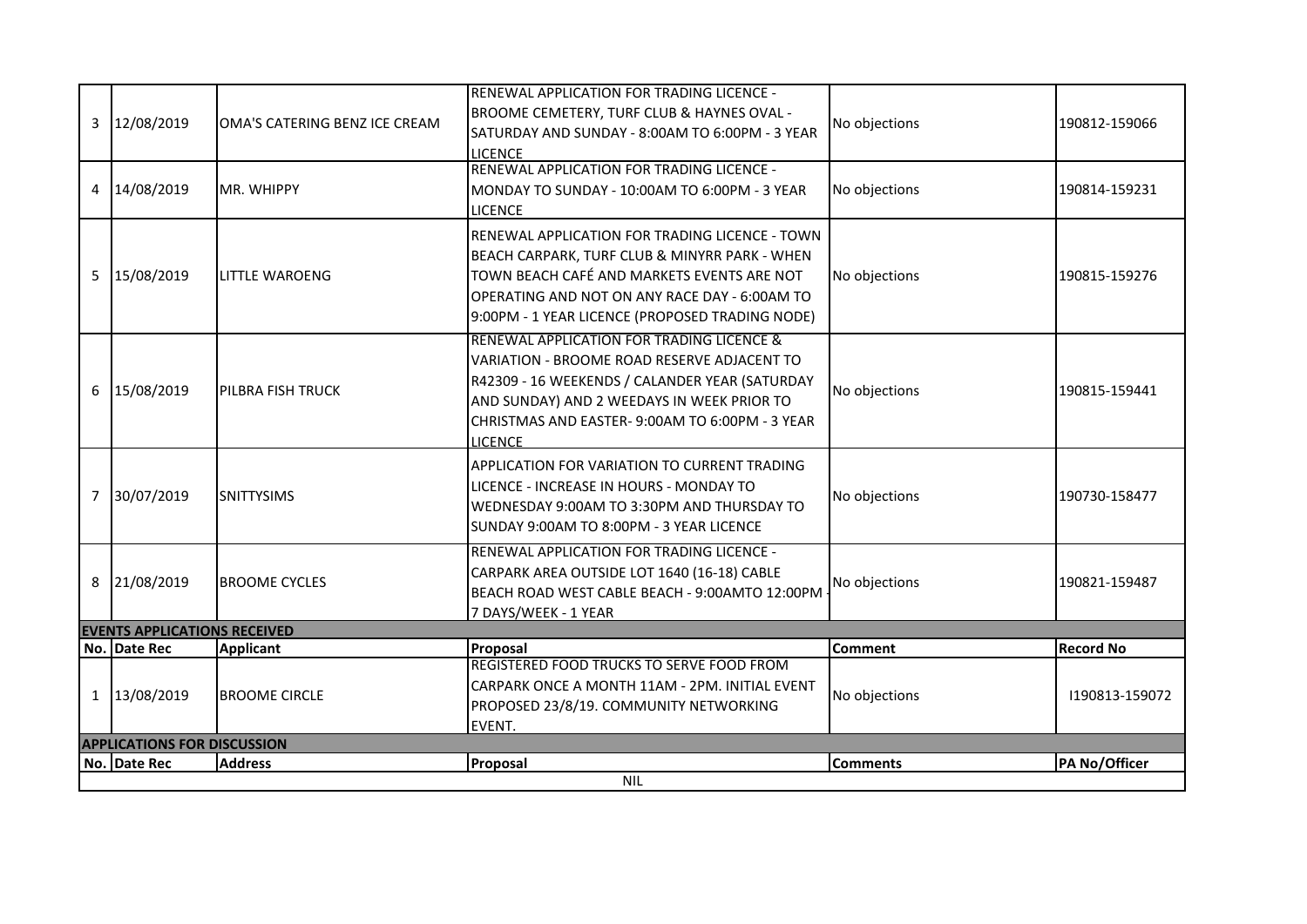| BROOME CEMETERY, TURF CLUB & HAYNES OVAL -<br>12/08/2019<br>No objections<br>3<br>OMA'S CATERING BENZ ICE CREAM<br>SATURDAY AND SUNDAY - 8:00AM TO 6:00PM - 3 YEAR<br><b>LICENCE</b><br>RENEWAL APPLICATION FOR TRADING LICENCE -<br>4 14/08/2019<br>No objections<br>MR. WHIPPY<br>MONDAY TO SUNDAY - 10:00AM TO 6:00PM - 3 YEAR<br><b>LICENCE</b> | 190812-159066<br>190814-159231 |  |  |  |  |  |  |  |  |  |  |
|-----------------------------------------------------------------------------------------------------------------------------------------------------------------------------------------------------------------------------------------------------------------------------------------------------------------------------------------------------|--------------------------------|--|--|--|--|--|--|--|--|--|--|
|                                                                                                                                                                                                                                                                                                                                                     |                                |  |  |  |  |  |  |  |  |  |  |
|                                                                                                                                                                                                                                                                                                                                                     |                                |  |  |  |  |  |  |  |  |  |  |
|                                                                                                                                                                                                                                                                                                                                                     |                                |  |  |  |  |  |  |  |  |  |  |
|                                                                                                                                                                                                                                                                                                                                                     |                                |  |  |  |  |  |  |  |  |  |  |
|                                                                                                                                                                                                                                                                                                                                                     |                                |  |  |  |  |  |  |  |  |  |  |
|                                                                                                                                                                                                                                                                                                                                                     |                                |  |  |  |  |  |  |  |  |  |  |
| RENEWAL APPLICATION FOR TRADING LICENCE - TOWN                                                                                                                                                                                                                                                                                                      |                                |  |  |  |  |  |  |  |  |  |  |
| BEACH CARPARK, TURF CLUB & MINYRR PARK - WHEN                                                                                                                                                                                                                                                                                                       | 190815-159276                  |  |  |  |  |  |  |  |  |  |  |
| TOWN BEACH CAFÉ AND MARKETS EVENTS ARE NOT<br>5 15/08/2019<br><b>LITTLE WAROENG</b><br>No objections                                                                                                                                                                                                                                                |                                |  |  |  |  |  |  |  |  |  |  |
| OPERATING AND NOT ON ANY RACE DAY - 6:00AM TO                                                                                                                                                                                                                                                                                                       |                                |  |  |  |  |  |  |  |  |  |  |
| 9:00PM - 1 YEAR LICENCE (PROPOSED TRADING NODE)                                                                                                                                                                                                                                                                                                     |                                |  |  |  |  |  |  |  |  |  |  |
| RENEWAL APPLICATION FOR TRADING LICENCE &                                                                                                                                                                                                                                                                                                           |                                |  |  |  |  |  |  |  |  |  |  |
| VARIATION - BROOME ROAD RESERVE ADJACENT TO                                                                                                                                                                                                                                                                                                         | 190815-159441                  |  |  |  |  |  |  |  |  |  |  |
| R42309 - 16 WEEKENDS / CALANDER YEAR (SATURDAY                                                                                                                                                                                                                                                                                                      |                                |  |  |  |  |  |  |  |  |  |  |
| 15/08/2019<br>6<br>PILBRA FISH TRUCK<br>No objections<br>AND SUNDAY) AND 2 WEEDAYS IN WEEK PRIOR TO                                                                                                                                                                                                                                                 |                                |  |  |  |  |  |  |  |  |  |  |
| CHRISTMAS AND EASTER-9:00AM TO 6:00PM - 3 YEAR                                                                                                                                                                                                                                                                                                      |                                |  |  |  |  |  |  |  |  |  |  |
| <b>LICENCE</b>                                                                                                                                                                                                                                                                                                                                      | 190730-158477                  |  |  |  |  |  |  |  |  |  |  |
| APPLICATION FOR VARIATION TO CURRENT TRADING                                                                                                                                                                                                                                                                                                        |                                |  |  |  |  |  |  |  |  |  |  |
| LICENCE - INCREASE IN HOURS - MONDAY TO                                                                                                                                                                                                                                                                                                             |                                |  |  |  |  |  |  |  |  |  |  |
| 7 30/07/2019<br><b>SNITTYSIMS</b><br>No objections<br>WEDNESDAY 9:00AM TO 3:30PM AND THURSDAY TO                                                                                                                                                                                                                                                    |                                |  |  |  |  |  |  |  |  |  |  |
| SUNDAY 9:00AM TO 8:00PM - 3 YEAR LICENCE                                                                                                                                                                                                                                                                                                            |                                |  |  |  |  |  |  |  |  |  |  |
| RENEWAL APPLICATION FOR TRADING LICENCE -                                                                                                                                                                                                                                                                                                           |                                |  |  |  |  |  |  |  |  |  |  |
| CARPARK AREA OUTSIDE LOT 1640 (16-18) CABLE                                                                                                                                                                                                                                                                                                         | 190821-159487                  |  |  |  |  |  |  |  |  |  |  |
| 8 21/08/2019<br>No objections<br><b>BROOME CYCLES</b><br>BEACH ROAD WEST CABLE BEACH - 9:00AMTO 12:00PM                                                                                                                                                                                                                                             |                                |  |  |  |  |  |  |  |  |  |  |
| 7 DAYS/WEEK - 1 YEAR                                                                                                                                                                                                                                                                                                                                |                                |  |  |  |  |  |  |  |  |  |  |
| <b>EVENTS APPLICATIONS RECEIVED</b>                                                                                                                                                                                                                                                                                                                 |                                |  |  |  |  |  |  |  |  |  |  |
| No. Date Rec<br>Proposal<br><b>Applicant</b><br><b>Comment</b>                                                                                                                                                                                                                                                                                      | <b>Record No</b>               |  |  |  |  |  |  |  |  |  |  |
| REGISTERED FOOD TRUCKS TO SERVE FOOD FROM                                                                                                                                                                                                                                                                                                           |                                |  |  |  |  |  |  |  |  |  |  |
| CARPARK ONCE A MONTH 11AM - 2PM. INITIAL EVENT<br>1 13/08/2019<br>No objections<br><b>BROOME CIRCLE</b>                                                                                                                                                                                                                                             | 1190813-159072                 |  |  |  |  |  |  |  |  |  |  |
| PROPOSED 23/8/19. COMMUNITY NETWORKING                                                                                                                                                                                                                                                                                                              |                                |  |  |  |  |  |  |  |  |  |  |
| EVENT.                                                                                                                                                                                                                                                                                                                                              |                                |  |  |  |  |  |  |  |  |  |  |
| <b>APPLICATIONS FOR DISCUSSION</b><br>No. Date Rec<br><b>Address</b><br>Proposal<br><b>Comments</b>                                                                                                                                                                                                                                                 | PA No/Officer                  |  |  |  |  |  |  |  |  |  |  |
| <b>NIL</b>                                                                                                                                                                                                                                                                                                                                          |                                |  |  |  |  |  |  |  |  |  |  |